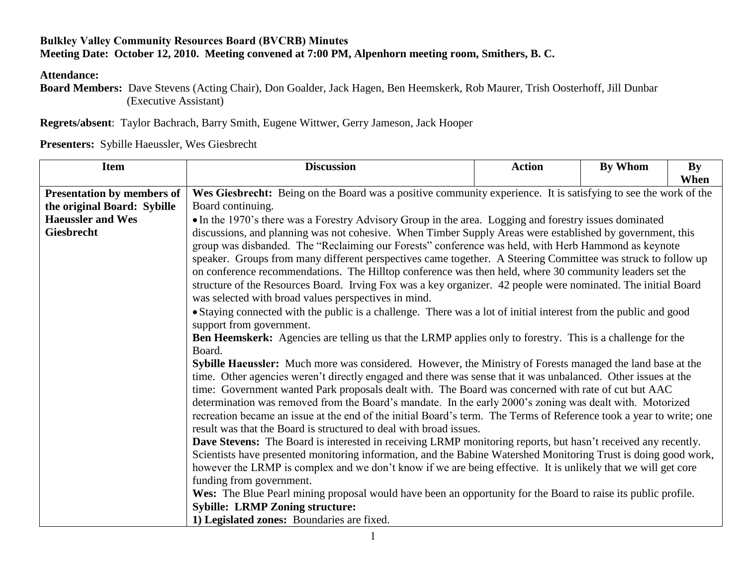## **Bulkley Valley Community Resources Board (BVCRB) Minutes Meeting Date: October 12, 2010. Meeting convened at 7:00 PM, Alpenhorn meeting room, Smithers, B. C.**

## **Attendance:**

**Board Members:** Dave Stevens (Acting Chair), Don Goalder, Jack Hagen, Ben Heemskerk, Rob Maurer, Trish Oosterhoff, Jill Dunbar (Executive Assistant)

**Regrets/absent**: Taylor Bachrach, Barry Smith, Eugene Wittwer, Gerry Jameson, Jack Hooper

**Presenters:** Sybille Haeussler, Wes Giesbrecht

| <b>Item</b>                 | <b>Discussion</b>                                                                                                    | <b>Action</b> | By Whom | By   |
|-----------------------------|----------------------------------------------------------------------------------------------------------------------|---------------|---------|------|
|                             |                                                                                                                      |               |         | When |
| Presentation by members of  | Wes Giesbrecht: Being on the Board was a positive community experience. It is satisfying to see the work of the      |               |         |      |
| the original Board: Sybille | Board continuing.                                                                                                    |               |         |      |
| <b>Haeussler and Wes</b>    | • In the 1970's there was a Forestry Advisory Group in the area. Logging and forestry issues dominated               |               |         |      |
| Giesbrecht                  | discussions, and planning was not cohesive. When Timber Supply Areas were established by government, this            |               |         |      |
|                             | group was disbanded. The "Reclaiming our Forests" conference was held, with Herb Hammond as keynote                  |               |         |      |
|                             | speaker. Groups from many different perspectives came together. A Steering Committee was struck to follow up         |               |         |      |
|                             | on conference recommendations. The Hilltop conference was then held, where 30 community leaders set the              |               |         |      |
|                             | structure of the Resources Board. Irving Fox was a key organizer. 42 people were nominated. The initial Board        |               |         |      |
|                             | was selected with broad values perspectives in mind.                                                                 |               |         |      |
|                             | • Staying connected with the public is a challenge. There was a lot of initial interest from the public and good     |               |         |      |
|                             | support from government.                                                                                             |               |         |      |
|                             | <b>Ben Heemskerk:</b> Agencies are telling us that the LRMP applies only to forestry. This is a challenge for the    |               |         |      |
|                             | Board.                                                                                                               |               |         |      |
|                             | Sybille Haeussler: Much more was considered. However, the Ministry of Forests managed the land base at the           |               |         |      |
|                             | time. Other agencies weren't directly engaged and there was sense that it was unbalanced. Other issues at the        |               |         |      |
|                             | time: Government wanted Park proposals dealt with. The Board was concerned with rate of cut but AAC                  |               |         |      |
|                             | determination was removed from the Board's mandate. In the early 2000's zoning was dealt with. Motorized             |               |         |      |
|                             | recreation became an issue at the end of the initial Board's term. The Terms of Reference took a year to write; one  |               |         |      |
|                             | result was that the Board is structured to deal with broad issues.                                                   |               |         |      |
|                             | <b>Dave Stevens:</b> The Board is interested in receiving LRMP monitoring reports, but hasn't received any recently. |               |         |      |
|                             | Scientists have presented monitoring information, and the Babine Watershed Monitoring Trust is doing good work,      |               |         |      |
|                             | however the LRMP is complex and we don't know if we are being effective. It is unlikely that we will get core        |               |         |      |
|                             | funding from government.                                                                                             |               |         |      |
|                             | Wes: The Blue Pearl mining proposal would have been an opportunity for the Board to raise its public profile.        |               |         |      |
|                             | <b>Sybille: LRMP Zoning structure:</b>                                                                               |               |         |      |
|                             | 1) Legislated zones: Boundaries are fixed.                                                                           |               |         |      |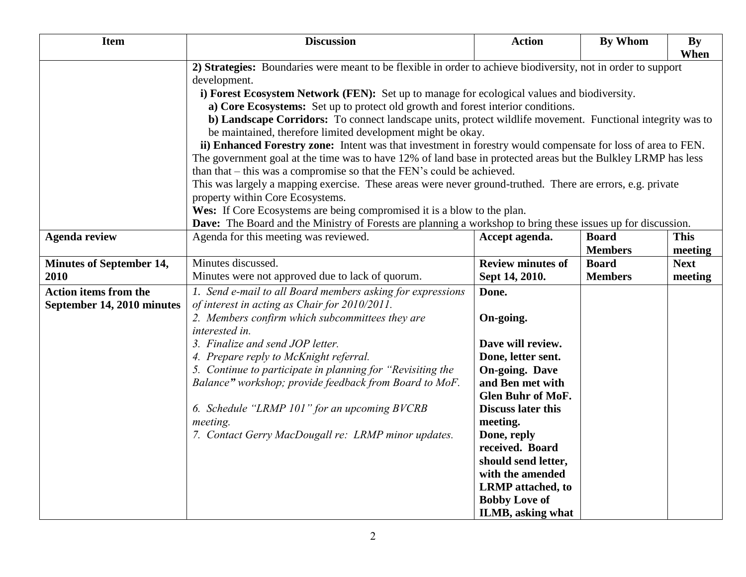| <b>Item</b>                     | <b>Discussion</b>                                                                                                                                                         | <b>Action</b>             | <b>By Whom</b> | <b>By</b>   |
|---------------------------------|---------------------------------------------------------------------------------------------------------------------------------------------------------------------------|---------------------------|----------------|-------------|
|                                 |                                                                                                                                                                           |                           |                | When        |
|                                 | 2) Strategies: Boundaries were meant to be flexible in order to achieve biodiversity, not in order to support                                                             |                           |                |             |
|                                 | development.                                                                                                                                                              |                           |                |             |
|                                 | i) Forest Ecosystem Network (FEN): Set up to manage for ecological values and biodiversity.                                                                               |                           |                |             |
|                                 | a) Core Ecosystems: Set up to protect old growth and forest interior conditions.                                                                                          |                           |                |             |
|                                 | b) Landscape Corridors: To connect landscape units, protect wildlife movement. Functional integrity was to<br>be maintained, therefore limited development might be okay. |                           |                |             |
|                                 | ii) Enhanced Forestry zone: Intent was that investment in forestry would compensate for loss of area to FEN.                                                              |                           |                |             |
|                                 | The government goal at the time was to have 12% of land base in protected areas but the Bulkley LRMP has less                                                             |                           |                |             |
|                                 | than that – this was a compromise so that the FEN's could be achieved.                                                                                                    |                           |                |             |
|                                 | This was largely a mapping exercise. These areas were never ground-truthed. There are errors, e.g. private                                                                |                           |                |             |
|                                 | property within Core Ecosystems.                                                                                                                                          |                           |                |             |
|                                 | Wes: If Core Ecosystems are being compromised it is a blow to the plan.                                                                                                   |                           |                |             |
|                                 | Dave: The Board and the Ministry of Forests are planning a workshop to bring these issues up for discussion.                                                              |                           |                |             |
| <b>Agenda review</b>            | Agenda for this meeting was reviewed.                                                                                                                                     | Accept agenda.            | <b>Board</b>   | <b>This</b> |
|                                 |                                                                                                                                                                           |                           | <b>Members</b> | meeting     |
| <b>Minutes of September 14,</b> | Minutes discussed.                                                                                                                                                        | <b>Review minutes of</b>  | <b>Board</b>   | <b>Next</b> |
| 2010                            | Minutes were not approved due to lack of quorum.                                                                                                                          | Sept 14, 2010.            | <b>Members</b> | meeting     |
| <b>Action items from the</b>    | 1. Send e-mail to all Board members asking for expressions                                                                                                                | Done.                     |                |             |
| September 14, 2010 minutes      | of interest in acting as Chair for 2010/2011.                                                                                                                             |                           |                |             |
|                                 | 2. Members confirm which subcommittees they are                                                                                                                           | On-going.                 |                |             |
|                                 | interested in.                                                                                                                                                            |                           |                |             |
|                                 | 3. Finalize and send JOP letter.                                                                                                                                          | Dave will review.         |                |             |
|                                 | 4. Prepare reply to McKnight referral.                                                                                                                                    | Done, letter sent.        |                |             |
|                                 | 5. Continue to participate in planning for "Revisiting the                                                                                                                | <b>On-going. Dave</b>     |                |             |
|                                 | Balance" workshop; provide feedback from Board to MoF.                                                                                                                    | and Ben met with          |                |             |
|                                 |                                                                                                                                                                           | <b>Glen Buhr of MoF.</b>  |                |             |
|                                 | 6. Schedule "LRMP 101" for an upcoming BVCRB                                                                                                                              | <b>Discuss later this</b> |                |             |
|                                 | meeting.                                                                                                                                                                  | meeting.                  |                |             |
|                                 | 7. Contact Gerry MacDougall re: LRMP minor updates.                                                                                                                       | Done, reply               |                |             |
|                                 |                                                                                                                                                                           | received. Board           |                |             |
|                                 |                                                                                                                                                                           | should send letter,       |                |             |
|                                 |                                                                                                                                                                           | with the amended          |                |             |
|                                 |                                                                                                                                                                           | <b>LRMP</b> attached, to  |                |             |
|                                 |                                                                                                                                                                           | <b>Bobby Love of</b>      |                |             |
|                                 |                                                                                                                                                                           | ILMB, asking what         |                |             |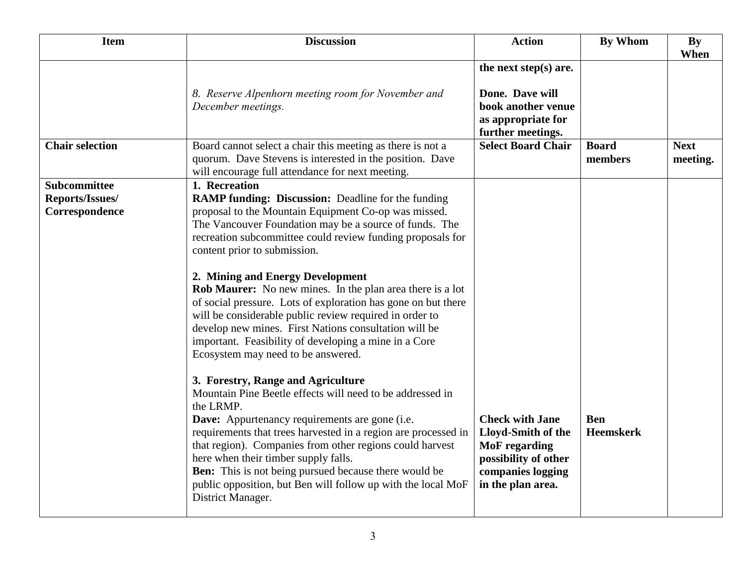| <b>Item</b>                                       | <b>Discussion</b>                                                                                                                                                                                                                                                                                                                                                                                                                                                                                                                                                                                                                                                                                                                                                                                                                                                                                                                                                                                                                                                                                                                                                                          | <b>Action</b>                                                                                                                          | <b>By Whom</b>                 | <b>By</b><br>When       |
|---------------------------------------------------|--------------------------------------------------------------------------------------------------------------------------------------------------------------------------------------------------------------------------------------------------------------------------------------------------------------------------------------------------------------------------------------------------------------------------------------------------------------------------------------------------------------------------------------------------------------------------------------------------------------------------------------------------------------------------------------------------------------------------------------------------------------------------------------------------------------------------------------------------------------------------------------------------------------------------------------------------------------------------------------------------------------------------------------------------------------------------------------------------------------------------------------------------------------------------------------------|----------------------------------------------------------------------------------------------------------------------------------------|--------------------------------|-------------------------|
|                                                   | 8. Reserve Alpenhorn meeting room for November and<br>December meetings.                                                                                                                                                                                                                                                                                                                                                                                                                                                                                                                                                                                                                                                                                                                                                                                                                                                                                                                                                                                                                                                                                                                   | the next step(s) are.<br>Done. Dave will<br>book another venue<br>as appropriate for<br>further meetings.                              |                                |                         |
| <b>Chair selection</b>                            | Board cannot select a chair this meeting as there is not a<br>quorum. Dave Stevens is interested in the position. Dave<br>will encourage full attendance for next meeting.                                                                                                                                                                                                                                                                                                                                                                                                                                                                                                                                                                                                                                                                                                                                                                                                                                                                                                                                                                                                                 | <b>Select Board Chair</b>                                                                                                              | <b>Board</b><br>members        | <b>Next</b><br>meeting. |
| Subcommittee<br>Reports/Issues/<br>Correspondence | 1. Recreation<br><b>RAMP funding: Discussion:</b> Deadline for the funding<br>proposal to the Mountain Equipment Co-op was missed.<br>The Vancouver Foundation may be a source of funds. The<br>recreation subcommittee could review funding proposals for<br>content prior to submission.<br>2. Mining and Energy Development<br><b>Rob Maurer:</b> No new mines. In the plan area there is a lot<br>of social pressure. Lots of exploration has gone on but there<br>will be considerable public review required in order to<br>develop new mines. First Nations consultation will be<br>important. Feasibility of developing a mine in a Core<br>Ecosystem may need to be answered.<br>3. Forestry, Range and Agriculture<br>Mountain Pine Beetle effects will need to be addressed in<br>the LRMP.<br><b>Dave:</b> Appurtenancy requirements are gone (i.e.<br>requirements that trees harvested in a region are processed in<br>that region). Companies from other regions could harvest<br>here when their timber supply falls.<br><b>Ben:</b> This is not being pursued because there would be<br>public opposition, but Ben will follow up with the local MoF<br>District Manager. | <b>Check with Jane</b><br>Lloyd-Smith of the<br><b>MoF</b> regarding<br>possibility of other<br>companies logging<br>in the plan area. | <b>Ben</b><br><b>Heemskerk</b> |                         |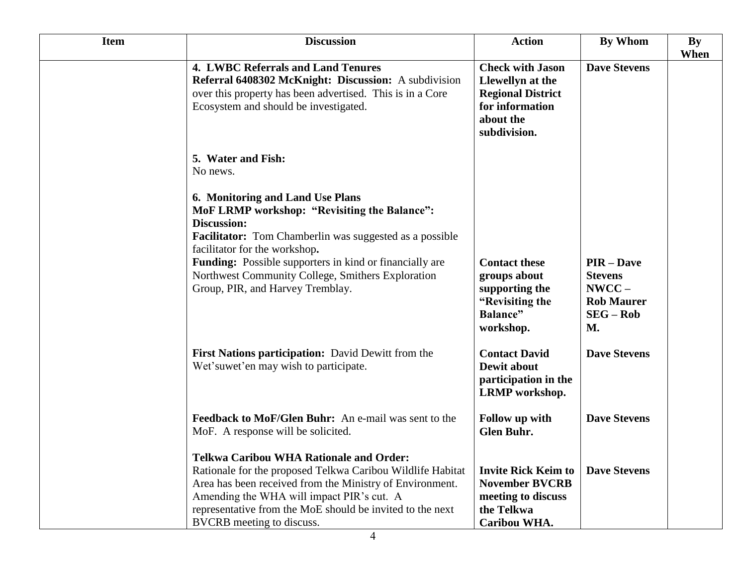| Item | <b>Discussion</b>                                                                                                                                                                                                                                                                                                                                      | <b>Action</b>                                                                                                           | <b>By Whom</b>                                                                       | By<br>When |
|------|--------------------------------------------------------------------------------------------------------------------------------------------------------------------------------------------------------------------------------------------------------------------------------------------------------------------------------------------------------|-------------------------------------------------------------------------------------------------------------------------|--------------------------------------------------------------------------------------|------------|
|      | <b>4. LWBC Referrals and Land Tenures</b><br>Referral 6408302 McKnight: Discussion: A subdivision<br>over this property has been advertised. This is in a Core<br>Ecosystem and should be investigated.                                                                                                                                                | <b>Check with Jason</b><br>Llewellyn at the<br><b>Regional District</b><br>for information<br>about the<br>subdivision. | <b>Dave Stevens</b>                                                                  |            |
|      | 5. Water and Fish:<br>No news.                                                                                                                                                                                                                                                                                                                         |                                                                                                                         |                                                                                      |            |
|      | 6. Monitoring and Land Use Plans<br>MoF LRMP workshop: "Revisiting the Balance":<br>Discussion:<br><b>Facilitator:</b> Tom Chamberlin was suggested as a possible<br>facilitator for the workshop.<br>Funding: Possible supporters in kind or financially are<br>Northwest Community College, Smithers Exploration<br>Group, PIR, and Harvey Tremblay. | <b>Contact these</b><br>groups about<br>supporting the<br>"Revisiting the<br><b>Balance</b> "<br>workshop.              | $PIR - Dave$<br><b>Stevens</b><br>$NWCC -$<br><b>Rob Maurer</b><br>$SEG - Rob$<br>M. |            |
|      | First Nations participation: David Dewitt from the<br>Wet'suwet'en may wish to participate.                                                                                                                                                                                                                                                            | <b>Contact David</b><br>Dewit about<br>participation in the<br><b>LRMP</b> workshop.                                    | <b>Dave Stevens</b>                                                                  |            |
|      | Feedback to MoF/Glen Buhr: An e-mail was sent to the<br>MoF. A response will be solicited.                                                                                                                                                                                                                                                             | Follow up with<br><b>Glen Buhr.</b>                                                                                     | <b>Dave Stevens</b>                                                                  |            |
|      | <b>Telkwa Caribou WHA Rationale and Order:</b><br>Rationale for the proposed Telkwa Caribou Wildlife Habitat<br>Area has been received from the Ministry of Environment.<br>Amending the WHA will impact PIR's cut. A<br>representative from the MoE should be invited to the next<br>BVCRB meeting to discuss.                                        | <b>Invite Rick Keim to</b><br><b>November BVCRB</b><br>meeting to discuss<br>the Telkwa<br>Caribou WHA.                 | <b>Dave Stevens</b>                                                                  |            |